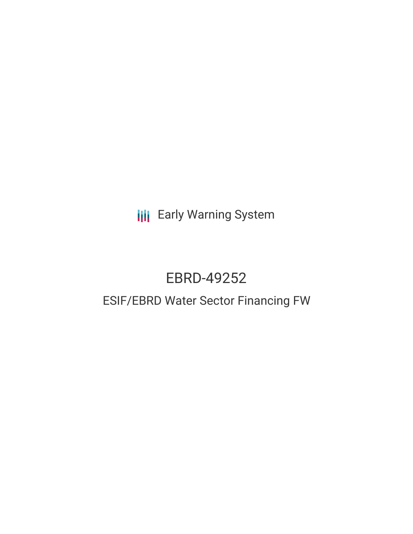**III** Early Warning System

# EBRD-49252

# ESIF/EBRD Water Sector Financing FW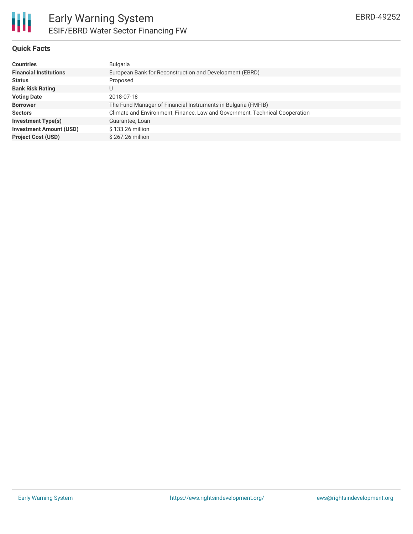### **Quick Facts**

| <b>Countries</b>               | <b>Bulgaria</b>                                                             |
|--------------------------------|-----------------------------------------------------------------------------|
| <b>Financial Institutions</b>  | European Bank for Reconstruction and Development (EBRD)                     |
| <b>Status</b>                  | Proposed                                                                    |
| <b>Bank Risk Rating</b>        |                                                                             |
| <b>Voting Date</b>             | 2018-07-18                                                                  |
| <b>Borrower</b>                | The Fund Manager of Financial Instruments in Bulgaria (FMFIB)               |
| <b>Sectors</b>                 | Climate and Environment, Finance, Law and Government, Technical Cooperation |
| <b>Investment Type(s)</b>      | Guarantee, Loan                                                             |
| <b>Investment Amount (USD)</b> | \$133.26 million                                                            |
| <b>Project Cost (USD)</b>      | \$267.26 million                                                            |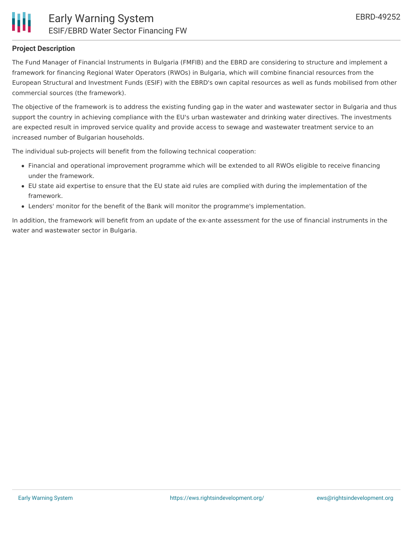# **Project Description**

The Fund Manager of Financial Instruments in Bulgaria (FMFIB) and the EBRD are considering to structure and implement a framework for financing Regional Water Operators (RWOs) in Bulgaria, which will combine financial resources from the European Structural and Investment Funds (ESIF) with the EBRD's own capital resources as well as funds mobilised from other commercial sources (the framework).

The objective of the framework is to address the existing funding gap in the water and wastewater sector in Bulgaria and thus support the country in achieving compliance with the EU's urban wastewater and drinking water directives. The investments are expected result in improved service quality and provide access to sewage and wastewater treatment service to an increased number of Bulgarian households.

The individual sub-projects will benefit from the following technical cooperation:

- Financial and operational improvement programme which will be extended to all RWOs eligible to receive financing under the framework.
- EU state aid expertise to ensure that the EU state aid rules are complied with during the implementation of the framework.
- Lenders' monitor for the benefit of the Bank will monitor the programme's implementation.

In addition, the framework will benefit from an update of the ex-ante assessment for the use of financial instruments in the water and wastewater sector in Bulgaria.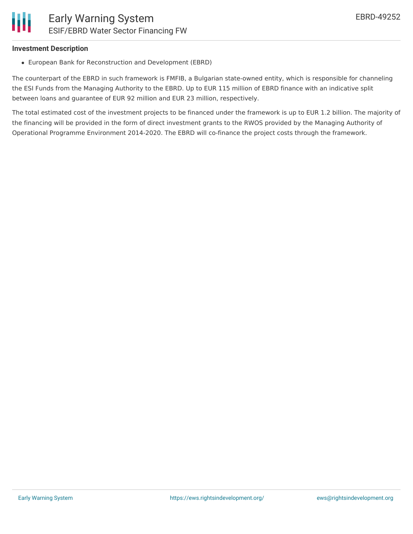## **Investment Description**

European Bank for Reconstruction and Development (EBRD)

The counterpart of the EBRD in such framework is FMFIB, a Bulgarian state-owned entity, which is responsible for channeling the ESI Funds from the Managing Authority to the EBRD. Up to EUR 115 million of EBRD finance with an indicative split between loans and guarantee of EUR 92 million and EUR 23 million, respectively.

The total estimated cost of the investment projects to be financed under the framework is up to EUR 1.2 billion. The majority of the financing will be provided in the form of direct investment grants to the RWOS provided by the Managing Authority of Operational Programme Environment 2014-2020. The EBRD will co-finance the project costs through the framework.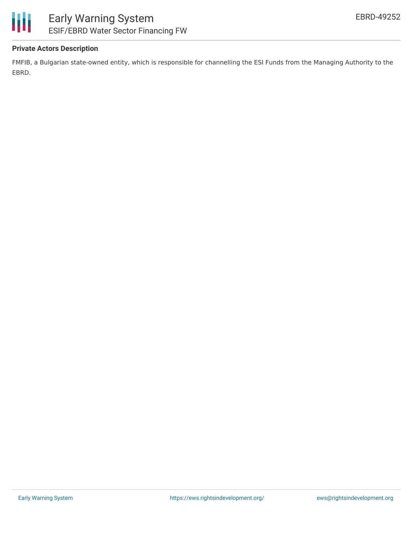

# **Private Actors Description**

FMFIB, a Bulgarian state-owned entity, which is responsible for channelling the ESI Funds from the Managing Authority to the EBRD.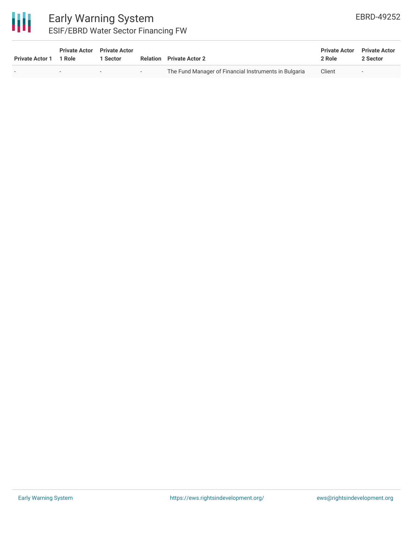

# Early Warning System ESIF/EBRD Water Sector Financing FW

| <b>Private Actor 1</b> | <b>Private Actor</b> Private Actor<br>1 Role | 1 Sector                 |        | <b>Relation</b> Private Actor 2                       | <b>Private Actor</b><br>2 Role | <b>Private Actor</b><br>2 Sector |
|------------------------|----------------------------------------------|--------------------------|--------|-------------------------------------------------------|--------------------------------|----------------------------------|
|                        | $\overline{\phantom{a}}$                     | $\overline{\phantom{0}}$ | $\sim$ | The Fund Manager of Financial Instruments in Bulgaria | Client                         | $\overline{\phantom{a}}$         |